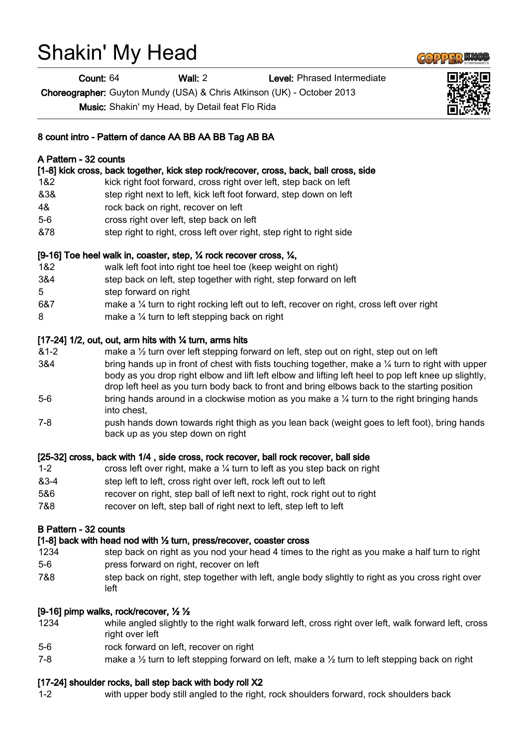# Shakin' My Head

Count: 64 Wall: 2 Level: Phrased Intermediate

Choreographer: Guyton Mundy (USA) & Chris Atkinson (UK) - October 2013

Music: Shakin' my Head, by Detail feat Flo Rida

## 8 count intro - Pattern of dance AA BB AA BB Tag AB BA

## A Pattern - 32 counts

[1-8] kick cross, back together, kick step rock/recover, cross, back, ball cross, side

- 1&2 kick right foot forward, cross right over left, step back on left
- &3& step right next to left, kick left foot forward, step down on left
- 4& rock back on right, recover on left
- 5-6 cross right over left, step back on left
- &78 step right to right, cross left over right, step right to right side

### [9-16] Toe heel walk in, coaster, step, ¼ rock recover cross, ¼,

- 1&2 walk left foot into right toe heel toe (keep weight on right)
- 3&4 step back on left, step together with right, step forward on left
- 5 step forward on right
- 6&7 make a ¼ turn to right rocking left out to left, recover on right, cross left over right
- 8 make a ¼ turn to left stepping back on right

### [17-24] 1/2, out, out, arm hits with  $\frac{1}{4}$  turn, arms hits

- &1-2 make a ½ turn over left stepping forward on left, step out on right, step out on left 3&4 bring hands up in front of chest with fists touching together, make a  $\frac{1}{4}$  turn to right with upper body as you drop right elbow and lift left elbow and lifting left heel to pop left knee up slightly, drop left heel as you turn body back to front and bring elbows back to the starting position 5-6 bring hands around in a clockwise motion as you make a 1/4 turn to the right bringing hands into chest,
- 7-8 push hands down towards right thigh as you lean back (weight goes to left foot), bring hands back up as you step down on right

### [25-32] cross, back with 1/4 , side cross, rock recover, ball rock recover, ball side

- 1-2 cross left over right, make a ¼ turn to left as you step back on right &3-4 step left to left, cross right over left, rock left out to left
- 5&6 recover on right, step ball of left next to right, rock right out to right
- 7&8 recover on left, step ball of right next to left, step left to left

### B Pattern - 32 counts

# [1-8] back with head nod with ½ turn, press/recover, coaster cross

- 1234 step back on right as you nod your head 4 times to the right as you make a half turn to right 5-6 press forward on right, recover on left
- 7&8 step back on right, step together with left, angle body slightly to right as you cross right over left

# [9-16] pimp walks, rock/recover, ½ ½

- 1234 while angled slightly to the right walk forward left, cross right over left, walk forward left, cross right over left
- 5-6 rock forward on left, recover on right
- 7-8 make a  $\frac{1}{2}$  turn to left stepping forward on left, make a  $\frac{1}{2}$  turn to left stepping back on right

# [17-24] shoulder rocks, ball step back with body roll X2

1-2 with upper body still angled to the right, rock shoulders forward, rock shoulders back